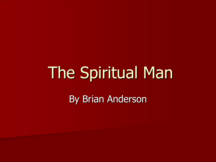# The Spiritual Man By Brian Anderson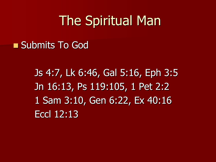#### ■ Submits To God

Js 4:7, Lk 6:46, Gal 5:16, Eph 3:5 Jn 16:13, Ps 119:105, 1 Pet 2:2 1 Sam 3:10, Gen 6:22, Ex 40:16 Eccl 12:13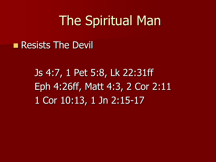■ Resists The Devil

Js 4:7, 1 Pet 5:8, Lk 22:31ff Eph 4:26ff, Matt 4:3, 2 Cor 2:11 1 Cor 10:13, 1 Jn 2:15-17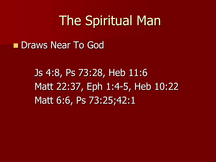■ Draws Near To God

Js 4:8, Ps 73:28, Heb 11:6 Matt 22:37, Eph 1:4-5, Heb 10:22 Matt 6:6, Ps 73:25;42:1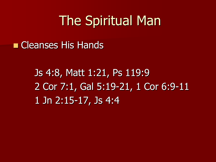■ Cleanses His Hands

Js 4:8, Matt 1:21, Ps 119:9 2 Cor 7:1, Gal 5:19-21, 1 Cor 6:9-11 1 Jn 2:15-17, Js 4:4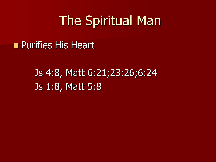#### ■ Purifies His Heart

#### Js 4:8, Matt 6:21;23:26;6:24 Js 1:8, Matt 5:8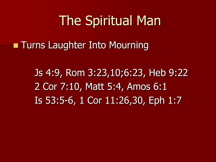**Turns Laughter Into Mourning** 

Js 4:9, Rom 3:23,10;6:23, Heb 9:22 2 Cor 7:10, Matt 5:4, Amos 6:1 Is 53:5-6, 1 Cor 11:26,30, Eph 1:7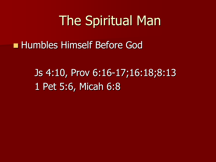■ Humbles Himself Before God

Js 4:10, Prov 6:16-17;16:18;8:13 1 Pet 5:6, Micah 6:8